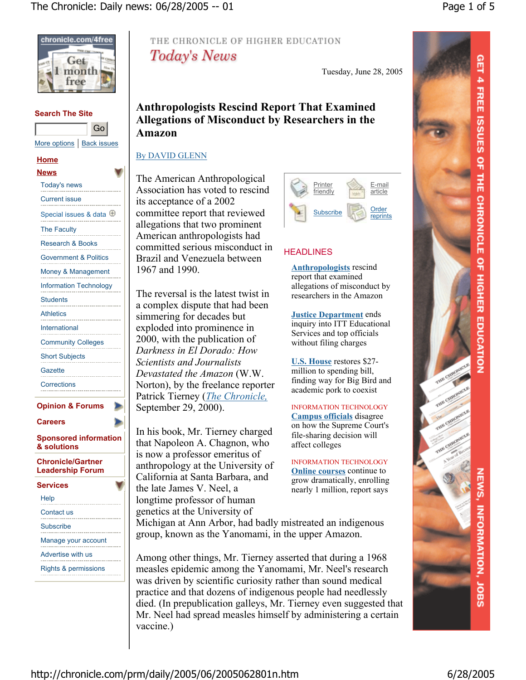

### **Search The Site**

|                            | ------ |
|----------------------------|--------|
| More options   Back issues |        |

Go

#### **Home**

| <b>News</b>                                         |   |
|-----------------------------------------------------|---|
| <b>Today's news</b><br>.                            |   |
| <b>Current issue</b>                                |   |
| Special issues & data $\overline{\oplus}$           |   |
| The Faculty<br>.                                    |   |
| <b>Research &amp; Books</b>                         |   |
| Government & Politics                               |   |
| Money & Management                                  |   |
| <b>Information Technology</b>                       |   |
| <b>Students</b>                                     |   |
| <b>Athletics</b>                                    |   |
| International<br>.                                  |   |
| Community Colleges                                  |   |
| Short Subjects                                      |   |
| Gazette                                             |   |
| Corrections                                         |   |
| <b>Opinion &amp; Forums</b>                         |   |
| Careers                                             |   |
| <b>Sponsored information</b><br>& solutions         |   |
| <b>Chronicle/Gartner</b><br><b>Leadership Forum</b> |   |
| والأقراب المسترد                                    | ۰ |

| Services                        |
|---------------------------------|
| Help                            |
| Contact us                      |
| Subscribe                       |
| Manage your account             |
| Advertise with us               |
| <b>Rights &amp; permissions</b> |
|                                 |

# THE CHRONICLE OF HIGHER EDUCATION Today's News

Tuesday, June 28, 2005

# **Anthropologists Rescind Report That Examined Allegations of Misconduct by Researchers in the Amazon**

### By DAVID GLENN

The American Anthropological Association has voted to rescind its acceptance of a 2002 committee report that reviewed allegations that two prominent American anthropologists had committed serious misconduct in Brazil and Venezuela between 1967 and 1990.

The reversal is the latest twist in a complex dispute that had been simmering for decades but exploded into prominence in 2000, with the publication of *Darkness in El Dorado: How Scientists and Journalists Devastated the Amazon* (W.W. Norton), by the freelance reporter Patrick Tierney (*The Chronicle,* September 29, 2000).

In his book, Mr. Tierney charged that Napoleon A. Chagnon, who is now a professor emeritus of anthropology at the University of California at Santa Barbara, and the late James V. Neel, a longtime professor of human genetics at the University of



# **HEADLINES**

**Anthropologists** rescind report that examined allegations of misconduct by researchers in the Amazon

**Justice Department** ends inquiry into ITT Educational Services and top officials without filing charges

**U.S. House** restores \$27 million to spending bill, finding way for Big Bird and academic pork to coexist

INFORMATION TECHNOLOGY **Campus officials** disagree on how the Supreme Court's file-sharing decision will affect colleges

INFORMATION TECHNOLOGY **Online courses** continue to grow dramatically, enrolling nearly 1 million, report says

Michigan at Ann Arbor, had badly mistreated an indigenous group, known as the Yanomami, in the upper Amazon.

Among other things, Mr. Tierney asserted that during a 1968 measles epidemic among the Yanomami, Mr. Neel's research was driven by scientific curiosity rather than sound medical practice and that dozens of indigenous people had needlessly died. (In prepublication galleys, Mr. Tierney even suggested that Mr. Neel had spread measles himself by administering a certain vaccine.)



http://chronicle.com/prm/daily/2005/06/2005062801n.htm 6/28/2005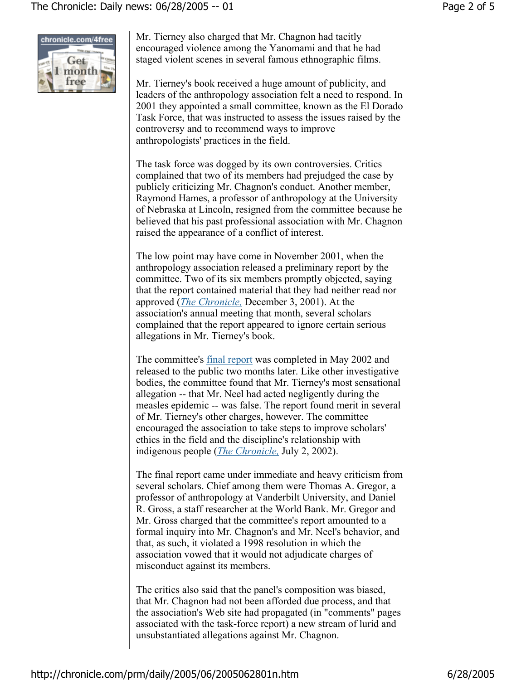

Mr. Tierney also charged that Mr. Chagnon had tacitly encouraged violence among the Yanomami and that he had staged violent scenes in several famous ethnographic films.

Mr. Tierney's book received a huge amount of publicity, and leaders of the anthropology association felt a need to respond. In 2001 they appointed a small committee, known as the El Dorado Task Force, that was instructed to assess the issues raised by the controversy and to recommend ways to improve anthropologists' practices in the field.

The task force was dogged by its own controversies. Critics complained that two of its members had prejudged the case by publicly criticizing Mr. Chagnon's conduct. Another member, Raymond Hames, a professor of anthropology at the University of Nebraska at Lincoln, resigned from the committee because he believed that his past professional association with Mr. Chagnon raised the appearance of a conflict of interest.

The low point may have come in November 2001, when the anthropology association released a preliminary report by the committee. Two of its six members promptly objected, saying that the report contained material that they had neither read nor approved (*The Chronicle,* December 3, 2001). At the association's annual meeting that month, several scholars complained that the report appeared to ignore certain serious allegations in Mr. Tierney's book.

The committee's final report was completed in May 2002 and released to the public two months later. Like other investigative bodies, the committee found that Mr. Tierney's most sensational allegation -- that Mr. Neel had acted negligently during the measles epidemic -- was false. The report found merit in several of Mr. Tierney's other charges, however. The committee encouraged the association to take steps to improve scholars' ethics in the field and the discipline's relationship with indigenous people (*The Chronicle,* July 2, 2002).

The final report came under immediate and heavy criticism from several scholars. Chief among them were Thomas A. Gregor, a professor of anthropology at Vanderbilt University, and Daniel R. Gross, a staff researcher at the World Bank. Mr. Gregor and Mr. Gross charged that the committee's report amounted to a formal inquiry into Mr. Chagnon's and Mr. Neel's behavior, and that, as such, it violated a 1998 resolution in which the association vowed that it would not adjudicate charges of misconduct against its members.

The critics also said that the panel's composition was biased, that Mr. Chagnon had not been afforded due process, and that the association's Web site had propagated (in "comments" pages associated with the task-force report) a new stream of lurid and unsubstantiated allegations against Mr. Chagnon.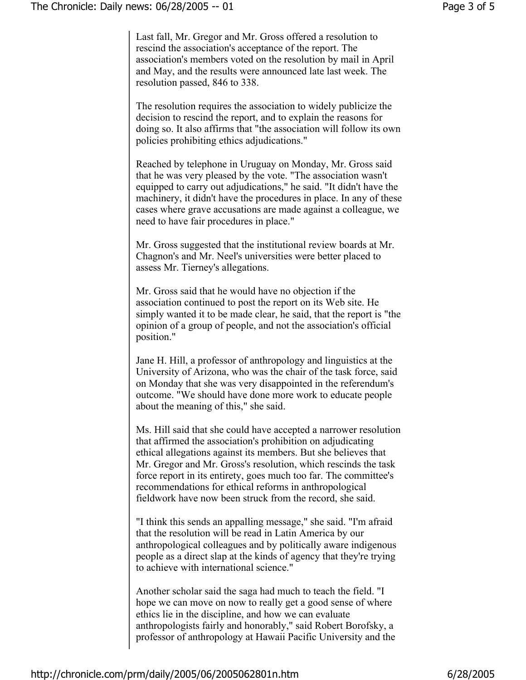Last fall, Mr. Gregor and Mr. Gross offered a resolution to rescind the association's acceptance of the report. The association's members voted on the resolution by mail in April and May, and the results were announced late last week. The resolution passed, 846 to 338.

The resolution requires the association to widely publicize the decision to rescind the report, and to explain the reasons for doing so. It also affirms that "the association will follow its own policies prohibiting ethics adjudications."

Reached by telephone in Uruguay on Monday, Mr. Gross said that he was very pleased by the vote. "The association wasn't equipped to carry out adjudications," he said. "It didn't have the machinery, it didn't have the procedures in place. In any of these cases where grave accusations are made against a colleague, we need to have fair procedures in place."

Mr. Gross suggested that the institutional review boards at Mr. Chagnon's and Mr. Neel's universities were better placed to assess Mr. Tierney's allegations.

Mr. Gross said that he would have no objection if the association continued to post the report on its Web site. He simply wanted it to be made clear, he said, that the report is "the opinion of a group of people, and not the association's official position."

Jane H. Hill, a professor of anthropology and linguistics at the University of Arizona, who was the chair of the task force, said on Monday that she was very disappointed in the referendum's outcome. "We should have done more work to educate people about the meaning of this," she said.

Ms. Hill said that she could have accepted a narrower resolution that affirmed the association's prohibition on adjudicating ethical allegations against its members. But she believes that Mr. Gregor and Mr. Gross's resolution, which rescinds the task force report in its entirety, goes much too far. The committee's recommendations for ethical reforms in anthropological fieldwork have now been struck from the record, she said.

"I think this sends an appalling message," she said. "I'm afraid that the resolution will be read in Latin America by our anthropological colleagues and by politically aware indigenous people as a direct slap at the kinds of agency that they're trying to achieve with international science."

Another scholar said the saga had much to teach the field. "I hope we can move on now to really get a good sense of where ethics lie in the discipline, and how we can evaluate anthropologists fairly and honorably," said Robert Borofsky, a professor of anthropology at Hawaii Pacific University and the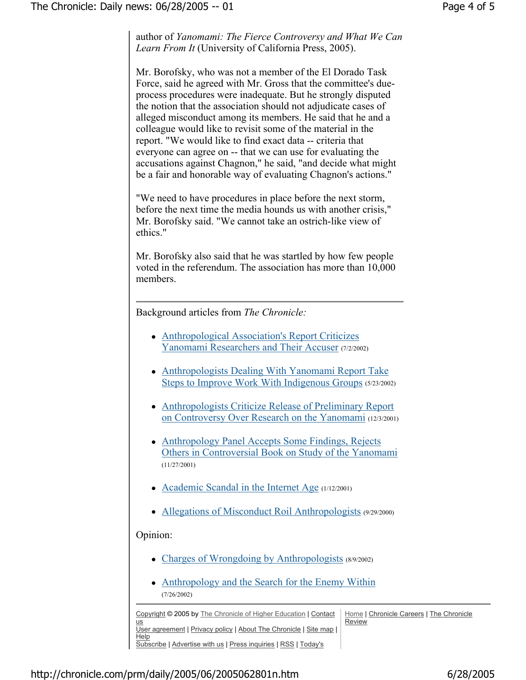author of *Yanomami: The Fierce Controversy and What We Can Learn From It* (University of California Press, 2005).

Mr. Borofsky, who was not a member of the El Dorado Task Force, said he agreed with Mr. Gross that the committee's dueprocess procedures were inadequate. But he strongly disputed the notion that the association should not adjudicate cases of alleged misconduct among its members. He said that he and a colleague would like to revisit some of the material in the report. "We would like to find exact data -- criteria that everyone can agree on -- that we can use for evaluating the accusations against Chagnon," he said, "and decide what might be a fair and honorable way of evaluating Chagnon's actions."

"We need to have procedures in place before the next storm, before the next time the media hounds us with another crisis," Mr. Borofsky said. "We cannot take an ostrich-like view of ethics."

Mr. Borofsky also said that he was startled by how few people voted in the referendum. The association has more than 10,000 members.

Background articles from *The Chronicle:*

- Anthropological Association's Report Criticizes Yanomami Researchers and Their Accuser (7/2/2002)
- Anthropologists Dealing With Yanomami Report Take Steps to Improve Work With Indigenous Groups (5/23/2002)
- Anthropologists Criticize Release of Preliminary Report on Controversy Over Research on the Yanomami (12/3/2001)
- Anthropology Panel Accepts Some Findings, Rejects Others in Controversial Book on Study of the Yanomami (11/27/2001)
- Academic Scandal in the Internet Age  $(1/12/2001)$
- Allegations of Misconduct Roil Anthropologists (9/29/2000)

## Opinion:

- Charges of Wrongdoing by Anthropologists (8/9/2002)
- Anthropology and the Search for the Enemy Within (7/26/2002)

Copyright © 2005 by The Chronicle of Higher Education | Contact us User agreement | Privacy policy | About The Chronicle | Site map | **Help** Subscribe | Advertise with us | Press inquiries | RSS | Today's Home | Chronicle Careers | The Chronicle Review